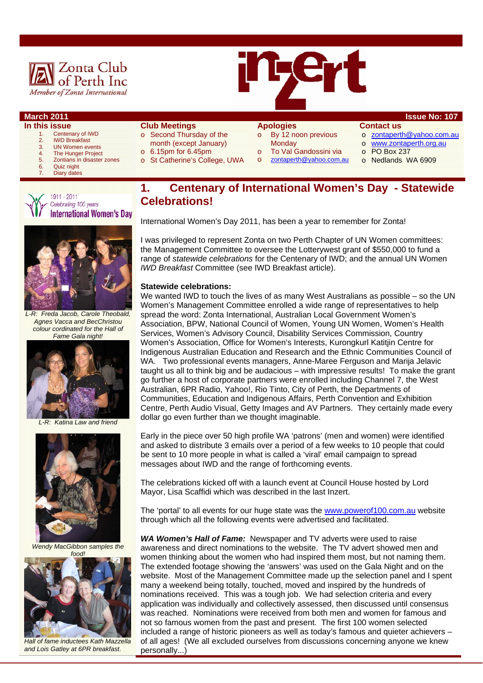



#### **In this issue**

- 1. Centenary of IWD<br>2. IWD Breakfast IWD Breakfast
- 3. UN Women events
- 4 The Hunger Project
- 5. Zontians in disaster zones<br>6. Quiz night
- Quiz night
- Diary dates





*L-R: Freda Jacob, Carole Theobald, Agnes Vacca and BecChristou colour cordinated for the Hall of Fame Gala night!* 



*L-R: Katina Law and friend* 



*Wendy MacGibbon samples the* 



*Hall of fame inductees Kath Mazzella and Lois Gatley at 6PR breakfast.* 

#### **Club Meetings**

- o Second Thursday of the month (except January)
- 
- o 6.15pm for 6.45pm
- o St Catherine's College, UWA

#### **Apologies**

- o By 12 noon previous **Monday**
- To Val Gandossini via
- o zontaperth@yahoo.com.au
- **Contact us**
- o zontaperth@yahoo.com.au
- o www.zontaperth.org.au
- o PO Box 237
- o Nedlands WA 6909

#### **1. Centenary of International Women's Day - Statewide Celebrations!**

International Women's Day 2011, has been a year to remember for Zonta!

I was privileged to represent Zonta on two Perth Chapter of UN Women committees: the Management Committee to oversee the Lotterywest grant of \$550,000 to fund a range of *statewide celebrations* for the Centenary of IWD; and the annual UN Women *IWD Breakfast* Committee (see IWD Breakfast article).

#### **Statewide celebrations:**

We wanted IWD to touch the lives of as many West Australians as possible – so the UN Women's Management Committee enrolled a wide range of representatives to help spread the word: Zonta International, Australian Local Government Women's Association, BPW, National Council of Women, Young UN Women, Women's Health Services, Women's Advisory Council, Disability Services Commission, Country Women's Association, Office for Women's Interests, Kurongkurl Katitjin Centre for Indigenous Australian Education and Research and the Ethnic Communities Council of WA. Two professional events managers, Anne-Maree Ferguson and Marija Jelavic taught us all to think big and be audacious – with impressive results! To make the grant go further a host of corporate partners were enrolled including Channel 7, the West Australian, 6PR Radio, Yahoo!, Rio Tinto, City of Perth, the Departments of Communities, Education and Indigenous Affairs, Perth Convention and Exhibition Centre, Perth Audio Visual, Getty Images and AV Partners. They certainly made every dollar go even further than we thought imaginable.

Early in the piece over 50 high profile WA 'patrons' (men and women) were identified and asked to distribute 3 emails over a period of a few weeks to 10 people that could be sent to 10 more people in what is called a 'viral' email campaign to spread messages about IWD and the range of forthcoming events.

The celebrations kicked off with a launch event at Council House hosted by Lord Mayor, Lisa Scaffidi which was described in the last Inzert.

The 'portal' to all events for our huge state was the www.powerof100.com.au website through which all the following events were advertised and facilitated.

*WA Women's Hall of Fame:* Newspaper and TV adverts were used to raise awareness and direct nominations to the website. The TV advert showed men and women thinking about the women who had inspired them most, but not naming them. The extended footage showing the 'answers' was used on the Gala Night and on the website. Most of the Management Committee made up the selection panel and I spent many a weekend being totally, touched, moved and inspired by the hundreds of nominations received. This was a tough job. We had selection criteria and every application was individually and collectively assessed, then discussed until consensus was reached. Nominations were received from both men and women for famous and not so famous women from the past and present. The first 100 women selected included a range of historic pioneers as well as today's famous and quieter achievers – of all ages! (We all excluded ourselves from discussions concerning anyone we knew personally...)

#### **March 2011 Issue No: 107**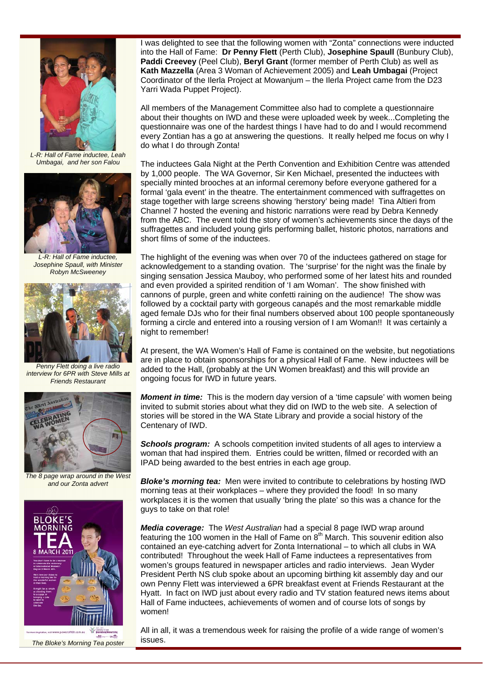

*L-R: Hall of Fame inductee, Leah Umbagai, and her son Falou* 



*L-R: Hall of Fame inductee, Josephine Spaull, with Minister Robyn McSweeney* 



*Penny Flett doing a live radio interview for 6PR with Steve Mills at Friends Restaurant* 



*The 8 page wrap around in the West and our Zonta advert* 



I was delighted to see that the following women with "Zonta" connections were inducted into the Hall of Fame: **Dr Penny Flett** (Perth Club), **Josephine Spaull** (Bunbury Club), **Paddi Creevey** (Peel Club), **Beryl Grant** (former member of Perth Club) as well as **Kath Mazzella** (Area 3 Woman of Achievement 2005) and **Leah Umbagai** (Project Coordinator of the Ilerla Project at Mowanjum – the Ilerla Project came from the D23 Yarri Wada Puppet Project).

All members of the Management Committee also had to complete a questionnaire about their thoughts on IWD and these were uploaded week by week...Completing the questionnaire was one of the hardest things I have had to do and I would recommend every Zontian has a go at answering the questions. It really helped me focus on why I do what I do through Zonta!

The inductees Gala Night at the Perth Convention and Exhibition Centre was attended by 1,000 people. The WA Governor, Sir Ken Michael, presented the inductees with specially minted brooches at an informal ceremony before everyone gathered for a formal 'gala event' in the theatre. The entertainment commenced with suffragettes on stage together with large screens showing 'herstory' being made! Tina Altieri from Channel 7 hosted the evening and historic narrations were read by Debra Kennedy from the ABC. The event told the story of women's achievements since the days of the suffragettes and included young girls performing ballet, historic photos, narrations and short films of some of the inductees.

The highlight of the evening was when over 70 of the inductees gathered on stage for acknowledgement to a standing ovation. The 'surprise' for the night was the finale by singing sensation Jessica Mauboy, who performed some of her latest hits and rounded and even provided a spirited rendition of 'I am Woman'. The show finished with cannons of purple, green and white confetti raining on the audience! The show was followed by a cocktail party with gorgeous canapés and the most remarkable middle aged female DJs who for their final numbers observed about 100 people spontaneously forming a circle and entered into a rousing version of I am Woman!! It was certainly a night to remember!

At present, the WA Women's Hall of Fame is contained on the website, but negotiations are in place to obtain sponsorships for a physical Hall of Fame. New inductees will be added to the Hall, (probably at the UN Women breakfast) and this will provide an ongoing focus for IWD in future years.

*Moment in time:* This is the modern day version of a 'time capsule' with women being invited to submit stories about what they did on IWD to the web site. A selection of stories will be stored in the WA State Library and provide a social history of the Centenary of IWD.

**Schools program:** A schools competition invited students of all ages to interview a woman that had inspired them. Entries could be written, filmed or recorded with an IPAD being awarded to the best entries in each age group.

*Bloke's morning tea:* Men were invited to contribute to celebrations by hosting IWD morning teas at their workplaces – where they provided the food! In so many workplaces it is the women that usually 'bring the plate' so this was a chance for the guys to take on that role!

*Media coverage:* The *West Australian* had a special 8 page IWD wrap around featuring the 100 women in the Hall of Fame on  $8<sup>th</sup>$  March. This souvenir edition also contained an eye-catching advert for Zonta International – to which all clubs in WA contributed! Throughout the week Hall of Fame inductees a representatives from women's groups featured in newspaper articles and radio interviews. Jean Wyder President Perth NS club spoke about an upcoming birthing kit assembly day and our own Penny Flett was interviewed a 6PR breakfast event at Friends Restaurant at the Hyatt. In fact on IWD just about every radio and TV station featured news items about Hall of Fame inductees, achievements of women and of course lots of songs by women!

All in all, it was a tremendous week for raising the profile of a wide range of women's issues.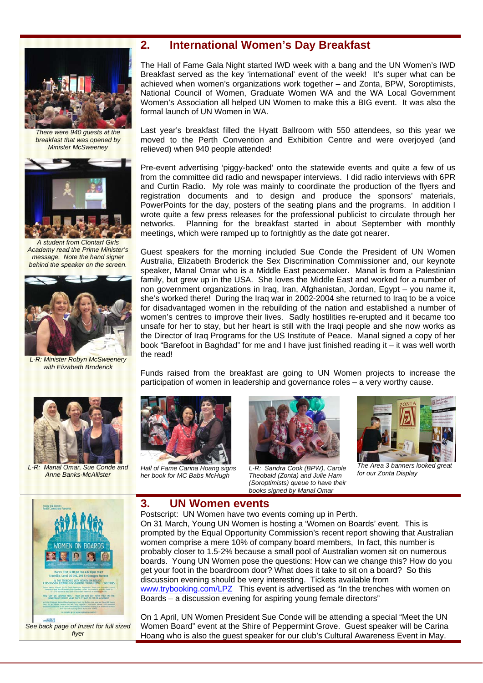

*There were 940 guests at the breakfast that was opened by Minister McSweeney* 



*A student from Clontarf Girls Academy read the Prime Minister's message. Note the hand signer behind the speaker on the screen.* 



*L-R: Minister Robyn McSweenery with Elizabeth Broderick* 



 *L-R: Manal Omar, Sue Conde and Anne Banks-McAllister* 

#### **2. International Women's Day Breakfast**

The Hall of Fame Gala Night started IWD week with a bang and the UN Women's IWD Breakfast served as the key 'international' event of the week! It's super what can be achieved when women's organizations work together – and Zonta, BPW, Soroptimists, National Council of Women, Graduate Women WA and the WA Local Government Women's Association all helped UN Women to make this a BIG event. It was also the formal launch of UN Women in WA.

Last year's breakfast filled the Hyatt Ballroom with 550 attendees, so this year we moved to the Perth Convention and Exhibition Centre and were overjoyed (and relieved) when 940 people attended!

Pre-event advertising 'piggy-backed' onto the statewide events and quite a few of us from the committee did radio and newspaper interviews. I did radio interviews with 6PR and Curtin Radio. My role was mainly to coordinate the production of the flyers and registration documents and to design and produce the sponsors' materials, PowerPoints for the day, posters of the seating plans and the programs. In addition I wrote quite a few press releases for the professional publicist to circulate through her networks. Planning for the breakfast started in about September with monthly meetings, which were ramped up to fortnightly as the date got nearer.

Guest speakers for the morning included Sue Conde the President of UN Women Australia, Elizabeth Broderick the Sex Discrimination Commissioner and, our keynote speaker, Manal Omar who is a Middle East peacemaker. Manal is from a Palestinian family, but grew up in the USA. She loves the Middle East and worked for a number of non government organizations in Iraq, Iran, Afghanistan, Jordan, Egypt – you name it, she's worked there! During the Iraq war in 2002-2004 she returned to Iraq to be a voice for disadvantaged women in the rebuilding of the nation and established a number of women's centres to improve their lives. Sadly hostilities re-erupted and it became too unsafe for her to stay, but her heart is still with the Iraqi people and she now works as the Director of Iraq Programs for the US Institute of Peace. Manal signed a copy of her book "Barefoot in Baghdad" for me and I have just finished reading it – it was well worth the read!

Funds raised from the breakfast are going to UN Women projects to increase the participation of women in leadership and governance roles – a very worthy cause.



*Hall of Fame Carina Hoang signs her book for MC Babs McHugh*

**3. UN Women events** 

Postscript: UN Women have two events coming up in Perth.

discussion evening should be very interesting. Tickets available from

Boards – a discussion evening for aspiring young female directors"



 *L-R: Sandra Cook (BPW), Carole Theobald (Zonta) and Julie Ham (Soroptimists) queue to have their books signed by Manal Omar* 

On 31 March, Young UN Women is hosting a 'Women on Boards' event. This is prompted by the Equal Opportunity Commission's recent report showing that Australian women comprise a mere 10% of company board members, In fact, this number is probably closer to 1.5-2% because a small pool of Australian women sit on numerous boards. Young UN Women pose the questions: How can we change this? How do you get your foot in the boardroom door? What does it take to sit on a board? So this



*The Area 3 banners looked great for our Zonta Display*



*See back page of Inzert for full sized flyer* 

On 1 April, UN Women President Sue Conde will be attending a special "Meet the UN Women Board" event at the Shire of Peppermint Grove. Guest speaker will be Carina Hoang who is also the guest speaker for our club's Cultural Awareness Event in May.

www.trybooking.com/LPZ This event is advertised as "In the trenches with women on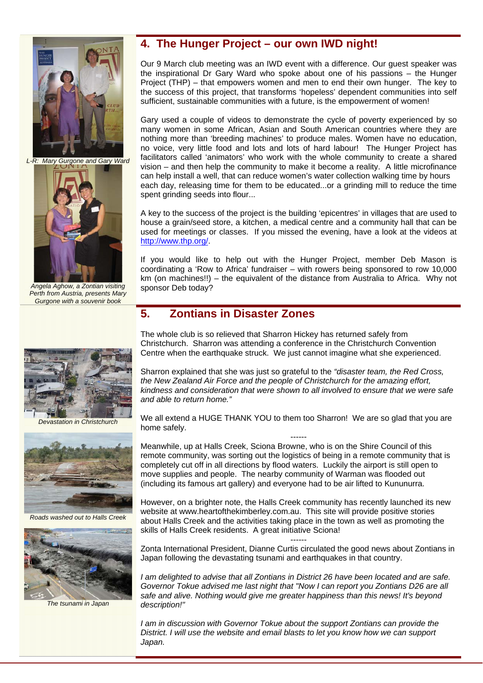

*L-R: Mary Gurgone and Gary Ward* 



*Angela Aghow, a Zontian visiting Perth from Austria, presents Mary Gurgone with a souvenir book* 



*Devastation in Christchurch* 



*Roads washed out to Halls Creek* 



*The tsunami in Japan* 

#### **4. The Hunger Project – our own IWD night!**

Our 9 March club meeting was an IWD event with a difference. Our guest speaker was the inspirational Dr Gary Ward who spoke about one of his passions – the Hunger Project (THP) – that empowers women and men to end their own hunger. The key to the success of this project, that transforms 'hopeless' dependent communities into self sufficient, sustainable communities with a future, is the empowerment of women!

Gary used a couple of videos to demonstrate the cycle of poverty experienced by so many women in some African, Asian and South American countries where they are nothing more than 'breeding machines' to produce males. Women have no education, no voice, very little food and lots and lots of hard labour! The Hunger Project has facilitators called 'animators' who work with the whole community to create a shared vision – and then help the community to make it become a reality. A little microfinance can help install a well, that can reduce women's water collection walking time by hours each day, releasing time for them to be educated...or a grinding mill to reduce the time spent grinding seeds into flour...

A key to the success of the project is the building 'epicentres' in villages that are used to house a grain/seed store, a kitchen, a medical centre and a community hall that can be used for meetings or classes. If you missed the evening, have a look at the videos at http://www.thp.org/.

If you would like to help out with the Hunger Project, member Deb Mason is coordinating a 'Row to Africa' fundraiser – with rowers being sponsored to row 10,000 km (on machines!!) – the equivalent of the distance from Australia to Africa. Why not sponsor Deb today?

#### **5. Zontians in Disaster Zones**

The whole club is so relieved that Sharron Hickey has returned safely from Christchurch. Sharron was attending a conference in the Christchurch Convention Centre when the earthquake struck. We just cannot imagine what she experienced.

Sharron explained that she was just so grateful to the *"disaster team, the Red Cross, the New Zealand Air Force and the people of Christchurch for the amazing effort, kindness and consideration that were shown to all involved to ensure that we were safe and able to return home."* 

We all extend a HUGE THANK YOU to them too Sharron! We are so glad that you are home safely.

------ Meanwhile, up at Halls Creek, Sciona Browne, who is on the Shire Council of this remote community, was sorting out the logistics of being in a remote community that is completely cut off in all directions by flood waters. Luckily the airport is still open to move supplies and people. The nearby community of Warman was flooded out (including its famous art gallery) and everyone had to be air lifted to Kununurra.

However, on a brighter note, the Halls Creek community has recently launched its new website at www.heartofthekimberley.com.au. This site will provide positive stories about Halls Creek and the activities taking place in the town as well as promoting the skills of Halls Creek residents. A great initiative Sciona!

------ Zonta International President, Dianne Curtis circulated the good news about Zontians in Japan following the devastating tsunami and earthquakes in that country.

*I am delighted to advise that all Zontians in District 26 have been located and are safe. Governor Tokue advised me last night that "Now I can report you Zontians D26 are all safe and alive. Nothing would give me greater happiness than this news! It's beyond description!"* 

*I am in discussion with Governor Tokue about the support Zontians can provide the District. I will use the website and email blasts to let you know how we can support Japan.*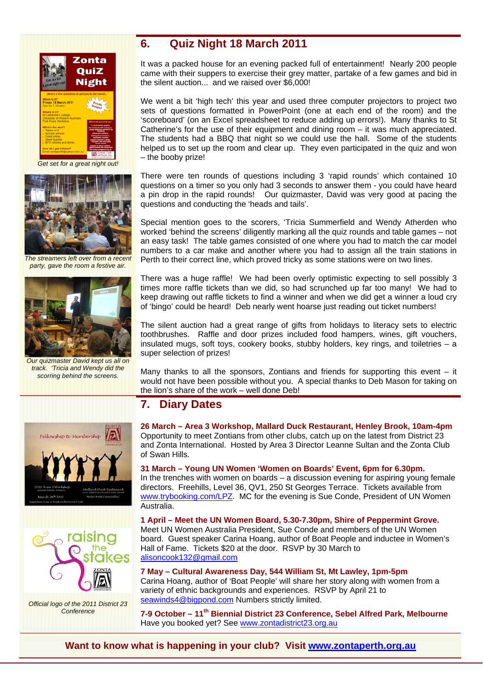



*The streamers left over from a recent party, gave the room a festive air.* 



*Our quizmaster David kept us all on track. 'Tricia and Wendy did the scorring behind the screens.* 





*Official logo of the 2011 District 23 Conference* 

#### **6. Quiz Night 18 March 2011**

It was a packed house for an evening packed full of entertainment! Nearly 200 people came with their suppers to exercise their grey matter, partake of a few games and bid in the silent auction... and we raised over \$6,000!

We went a bit 'high tech' this year and used three computer projectors to project two sets of questions formatted in PowerPoint (one at each end of the room) and the 'scoreboard' (on an Excel spreadsheet to reduce adding up errors!). Many thanks to St Catherine's for the use of their equipment and dining room – it was much appreciated. The students had a BBQ that night so we could use the hall. Some of the students helped us to set up the room and clear up. They even participated in the quiz and won – the booby prize!

There were ten rounds of questions including 3 'rapid rounds' which contained 10 questions on a timer so you only had 3 seconds to answer them - you could have heard a pin drop in the rapid rounds! Our quizmaster, David was very good at pacing the questions and conducting the 'heads and tails'.

Special mention goes to the scorers, 'Tricia Summerfield and Wendy Atherden who worked 'behind the screens' diligently marking all the quiz rounds and table games – not an easy task! The table games consisted of one where you had to match the car model numbers to a car make and another where you had to assign all the train stations in Perth to their correct line, which proved tricky as some stations were on two lines.

There was a huge raffle! We had been overly optimistic expecting to sell possibly 3 times more raffle tickets than we did, so had scrunched up far too many! We had to keep drawing out raffle tickets to find a winner and when we did get a winner a loud cry of 'bingo' could be heard! Deb nearly went hoarse just reading out ticket numbers!

The silent auction had a great range of gifts from holidays to literacy sets to electric toothbrushes. Raffle and door prizes included food hampers, wines, gift vouchers, insulated mugs, soft toys, cookery books, stubby holders, key rings, and toiletries – a super selection of prizes!

Many thanks to all the sponsors, Zontians and friends for supporting this event  $-$  it would not have been possible without you. A special thanks to Deb Mason for taking on the lion's share of the work – well done Deb!

#### **7. Diary Dates**

**26 March – Area 3 Workshop, Mallard Duck Restaurant, Henley Brook, 10am-4pm**  Opportunity to meet Zontians from other clubs, catch up on the latest from District 23 and Zonta International. Hosted by Area 3 Director Leanne Sultan and the Zonta Club of Swan Hills.

**31 March – Young UN Women 'Women on Boards' Event, 6pm for 6.30pm.**  In the trenches with women on boards – a discussion evening for aspiring young female directors. Freehills, Level 36, QV1, 250 St Georges Terrace. Tickets available from www.trybooking.com/LPZ. MC for the evening is Sue Conde, President of UN Women Australia.

**1 April – Meet the UN Women Board, 5.30-7.30pm, Shire of Peppermint Grove.**  Meet UN Women Australia President, Sue Conde and members of the UN Women board. Guest speaker Carina Hoang, author of Boat People and inductee in Women's Hall of Fame. Tickets \$20 at the door. RSVP by 30 March to alisoncook132@gmail.com

**7 May – Cultural Awareness Day, 544 William St, Mt Lawley, 1pm-5pm**  Carina Hoang, author of 'Boat People' will share her story along with women from a variety of ethnic backgrounds and experiences. RSVP by April 21 to seawinds4@bigpond.com Numbers strictly limited.

**7-9 October – 11th Biennial District 23 Conference, Sebel Alfred Park, Melbourne**  Have you booked yet? See www.zontadistrict23.org.au

**Want to know what is happening in your club? Visit www.zontaperth.org.au**